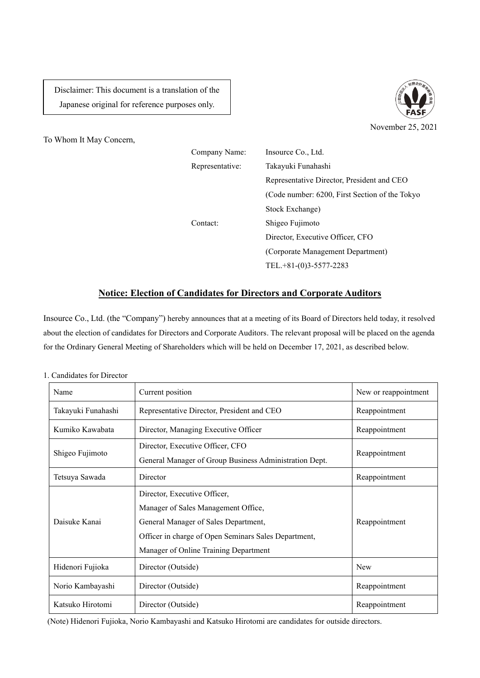Disclaimer: This document is a translation of the Japanese original for reference purposes only.



To Whom It May Concern,

| Company Name:   | Insource Co., Ltd.                             |
|-----------------|------------------------------------------------|
| Representative: | Takayuki Funahashi                             |
|                 | Representative Director, President and CEO     |
|                 | (Code number: 6200, First Section of the Tokyo |
|                 | Stock Exchange)                                |
| Contact:        | Shigeo Fujimoto                                |
|                 | Director, Executive Officer, CFO               |
|                 | (Corporate Management Department)              |
|                 | TEL.+81-(0)3-5577-2283                         |

## **Notice: Election of Candidates for Directors and Corporate Auditors**

Insource Co., Ltd. (the "Company") hereby announces that at a meeting of its Board of Directors held today, it resolved about the election of candidates for Directors and Corporate Auditors. The relevant proposal will be placed on the agenda for the Ordinary General Meeting of Shareholders which will be held on December 17, 2021, as described below.

| 1. Candidates for Director |
|----------------------------|
|----------------------------|

| Name               | Current position                                                                                                                                                                                             | New or reappointment |
|--------------------|--------------------------------------------------------------------------------------------------------------------------------------------------------------------------------------------------------------|----------------------|
| Takayuki Funahashi | Representative Director, President and CEO                                                                                                                                                                   | Reappointment        |
| Kumiko Kawabata    | Director, Managing Executive Officer                                                                                                                                                                         | Reappointment        |
| Shigeo Fujimoto    | Director, Executive Officer, CFO<br>General Manager of Group Business Administration Dept.                                                                                                                   | Reappointment        |
| Tetsuya Sawada     | Director                                                                                                                                                                                                     | Reappointment        |
| Daisuke Kanai      | Director, Executive Officer,<br>Manager of Sales Management Office,<br>General Manager of Sales Department,<br>Officer in charge of Open Seminars Sales Department,<br>Manager of Online Training Department | Reappointment        |
| Hidenori Fujioka   | Director (Outside)                                                                                                                                                                                           | <b>New</b>           |
| Norio Kambayashi   | Director (Outside)                                                                                                                                                                                           | Reappointment        |
| Katsuko Hirotomi   | Director (Outside)                                                                                                                                                                                           | Reappointment        |

(Note) Hidenori Fujioka, Norio Kambayashi and Katsuko Hirotomi are candidates for outside directors.